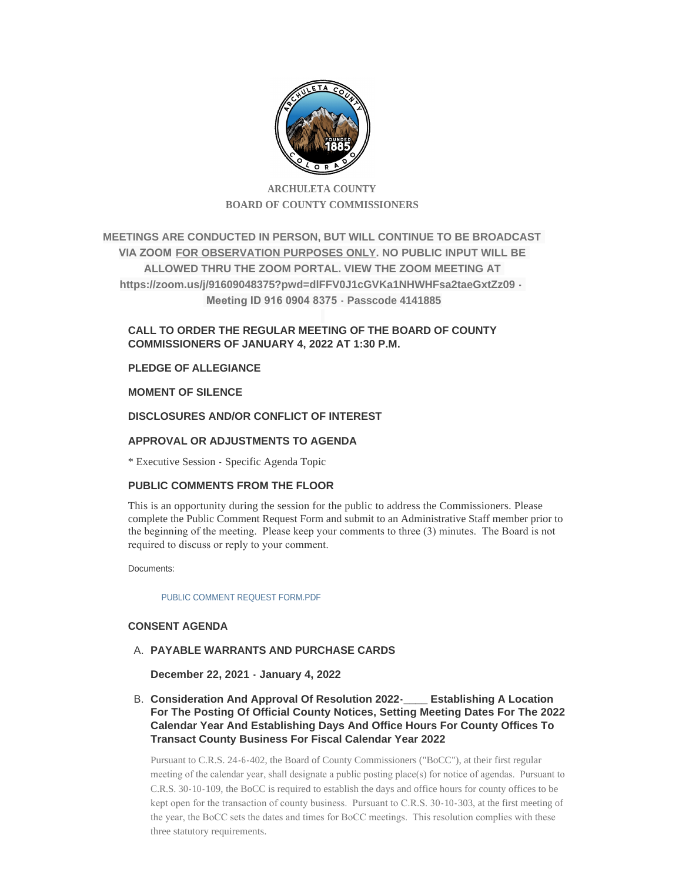

# **ARCHULETA COUNTY BOARD OF COUNTY COMMISSIONERS**

**MEETINGS ARE CONDUCTED IN PERSON, BUT WILL CONTINUE TO BE BROADCAST VIA ZOOM FOR OBSERVATION PURPOSES ONLY. NO PUBLIC INPUT WILL BE ALLOWED THRU THE ZOOM PORTAL. VIEW THE ZOOM MEETING AT https://zoom.us/j/91609048375?pwd=dlFFV0J1cGVKa1NHWHFsa2taeGxtZz09 - Meeting ID 916 0904 8375 - Passcode 4141885**

# **CALL TO ORDER THE REGULAR MEETING OF THE BOARD OF COUNTY COMMISSIONERS OF JANUARY 4, 2022 AT 1:30 P.M.**

# **PLEDGE OF ALLEGIANCE**

# **MOMENT OF SILENCE**

# **DISCLOSURES AND/OR CONFLICT OF INTEREST**

# **APPROVAL OR ADJUSTMENTS TO AGENDA**

\* Executive Session - Specific Agenda Topic

# **PUBLIC COMMENTS FROM THE FLOOR**

This is an opportunity during the session for the public to address the Commissioners. Please complete the Public Comment Request Form and submit to an Administrative Staff member prior to the beginning of the meeting. Please keep your comments to three (3) minutes. The Board is not required to discuss or reply to your comment.

Documents:

[PUBLIC COMMENT REQUEST FORM.PDF](http://www.archuletacounty.org/AgendaCenter/ViewFile/Item/10093?fileID=7927)

# **CONSENT AGENDA**

# **PAYABLE WARRANTS AND PURCHASE CARDS** A.

**December 22, 2021 - January 4, 2022**

**Consideration And Approval Of Resolution 2022-\_\_\_\_ Establishing A Location**  B. **For The Posting Of Official County Notices, Setting Meeting Dates For The 2022 Calendar Year And Establishing Days And Office Hours For County Offices To Transact County Business For Fiscal Calendar Year 2022**

Pursuant to C.R.S. 24-6-402, the Board of County Commissioners ("BoCC"), at their first regular meeting of the calendar year, shall designate a public posting place(s) for notice of agendas. Pursuant to C.R.S. 30-10-109, the BoCC is required to establish the days and office hours for county offices to be kept open for the transaction of county business. Pursuant to C.R.S. 30-10-303, at the first meeting of the year, the BoCC sets the dates and times for BoCC meetings. This resolution complies with these three statutory requirements.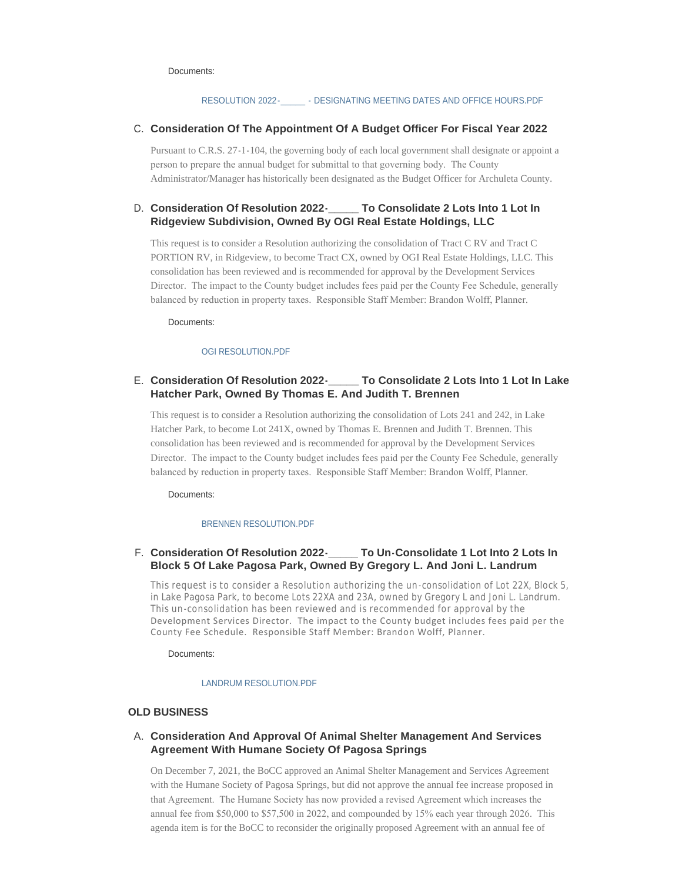#### Documents:

### RESOLUTION 2022- - - DESIGNATING MEETING DATES AND OFFICE HOURS.PDF

### **C.** Consideration Of The Appointment Of A Budget Officer For Fiscal Year 2022

Pursuant to C.R.S. 27-1-104, the governing body of each local government shall designate or appoint a person to prepare the annual budget for submittal to that governing body. The County Administrator/Manager has historically been designated as the Budget Officer for Archuleta County.

#### **To Consolidate 2 Lots Into 1 Lot In Ridgeview Subdivision, Owned By OGI Real Estate Holdings, LLC** D. Consideration Of Resolution 2022-

This request is to consider a Resolution authorizing the consolidation of Tract C RV and Tract C PORTION RV, in Ridgeview, to become Tract CX, owned by OGI Real Estate Holdings, LLC. This consolidation has been reviewed and is recommended for approval by the Development Services Director. The impact to the County budget includes fees paid per the County Fee Schedule, generally balanced by reduction in property taxes. Responsible Staff Member: Brandon Wolff, Planner.

Documents:

#### [OGI RESOLUTION.PDF](http://www.archuletacounty.org/AgendaCenter/ViewFile/Item/10081?fileID=7916)

### **Consideration Of Resolution 2022-\_\_\_\_\_ To Consolidate 2 Lots Into 1 Lot In Lake**  E. **Hatcher Park, Owned By Thomas E. And Judith T. Brennen**

This request is to consider a Resolution authorizing the consolidation of Lots 241 and 242, in Lake Hatcher Park, to become Lot 241X, owned by Thomas E. Brennen and Judith T. Brennen. This consolidation has been reviewed and is recommended for approval by the Development Services Director. The impact to the County budget includes fees paid per the County Fee Schedule, generally balanced by reduction in property taxes. Responsible Staff Member: Brandon Wolff, Planner.

Documents:

#### [BRENNEN RESOLUTION.PDF](http://www.archuletacounty.org/AgendaCenter/ViewFile/Item/10082?fileID=7917)

### **Consideration Of Resolution 2022-\_\_\_\_\_ To Un-Consolidate 1 Lot Into 2 Lots In**  F. **Block 5 Of Lake Pagosa Park, Owned By Gregory L. And Joni L. Landrum**

This request is to consider a Resolution authorizing the un -consolidation of Lot 22X, Block 5, in Lake Pagosa Park, to become Lots 22XA and 23A, owned by Gregory L and Joni L. Landrum. This un -consolidation has been reviewed and is recommended for approval by the Development Services Director. The impact to the County budget includes fees paid per the County Fee Schedule. Responsible Staff Member: Brandon Wolff, Planner.

Documents:

#### [LANDRUM RESOLUTION.PDF](http://www.archuletacounty.org/AgendaCenter/ViewFile/Item/10083?fileID=7918)

### **OLD BUSINESS**

### **Consideration And Approval Of Animal Shelter Management And Services**  A. **Agreement With Humane Society Of Pagosa Springs**

On December 7, 2021, the BoCC approved an Animal Shelter Management and Services Agreement with the Humane Society of Pagosa Springs, but did not approve the annual fee increase proposed in that Agreement. The Humane Society has now provided a revised Agreement which increases the annual fee from \$50,000 to \$57,500 in 2022, and compounded by 15% each year through 2026. This agenda item is for the BoCC to reconsider the originally proposed Agreement with an annual fee of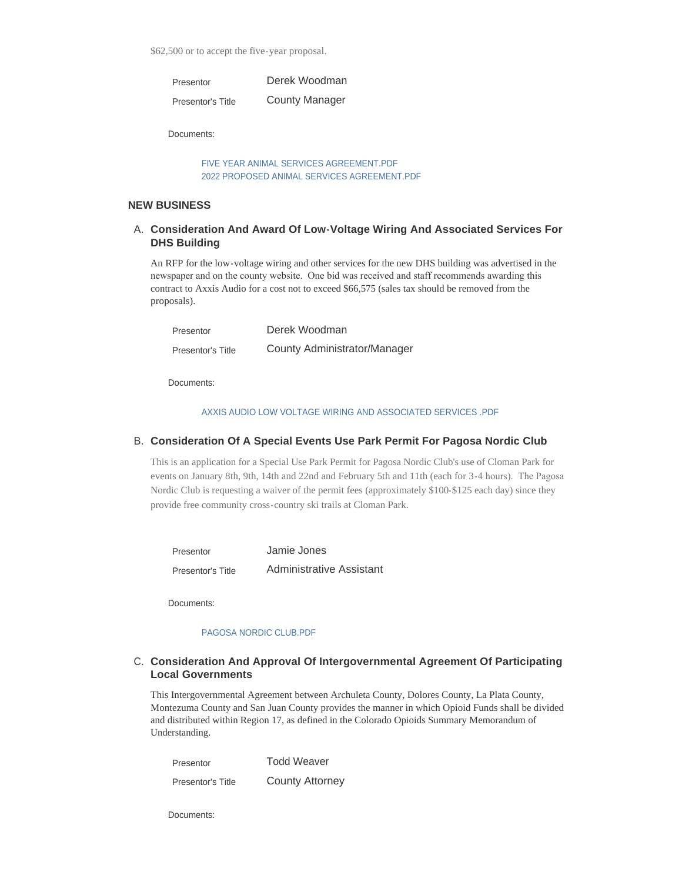\$62,500 or to accept the five-year proposal.

| Presentor         | Derek Woodman         |
|-------------------|-----------------------|
| Presentor's Title | <b>County Manager</b> |

Documents:

[FIVE YEAR ANIMAL SERVICES AGREEMENT.PDF](http://www.archuletacounty.org/AgendaCenter/ViewFile/Item/10086?fileID=7924) [2022 PROPOSED ANIMAL SERVICES AGREEMENT.PDF](http://www.archuletacounty.org/AgendaCenter/ViewFile/Item/10086?fileID=7923)

### **NEW BUSINESS**

## **Consideration And Award Of Low-Voltage Wiring And Associated Services For**  A. **DHS Building**

An RFP for the low-voltage wiring and other services for the new DHS building was advertised in the newspaper and on the county website. One bid was received and staff recommends awarding this contract to Axxis Audio for a cost not to exceed \$66,575 (sales tax should be removed from the proposals).

| Presentor         | Derek Woodman                |
|-------------------|------------------------------|
| Presentor's Title | County Administrator/Manager |

Documents:

### [AXXIS AUDIO LOW VOLTAGE WIRING AND ASSOCIATED SERVICES .PDF](http://www.archuletacounty.org/AgendaCenter/ViewFile/Item/10103?fileID=7931)

### **Consideration Of A Special Events Use Park Permit For Pagosa Nordic Club** B.

This is an application for a Special Use Park Permit for Pagosa Nordic Club's use of Cloman Park for events on January 8th, 9th, 14th and 22nd and February 5th and 11th (each for 3-4 hours). The Pagosa Nordic Club is requesting a waiver of the permit fees (approximately \$100-\$125 each day) since they provide free community cross-country ski trails at Cloman Park.

| Presentor         | Jamie Jones              |
|-------------------|--------------------------|
| Presentor's Title | Administrative Assistant |

Documents:

#### [PAGOSA NORDIC CLUB.PDF](http://www.archuletacounty.org/AgendaCenter/ViewFile/Item/10085?fileID=7921)

### **C.** Consideration And Approval Of Intergovernmental Agreement Of Participating **Local Governments**

This Intergovernmental Agreement between Archuleta County, Dolores County, La Plata County, Montezuma County and San Juan County provides the manner in which Opioid Funds shall be divided and distributed within Region 17, as defined in the Colorado Opioids Summary Memorandum of Understanding.

| Presentor         | <b>Todd Weaver</b>     |
|-------------------|------------------------|
| Presentor's Title | <b>County Attorney</b> |

Documents: